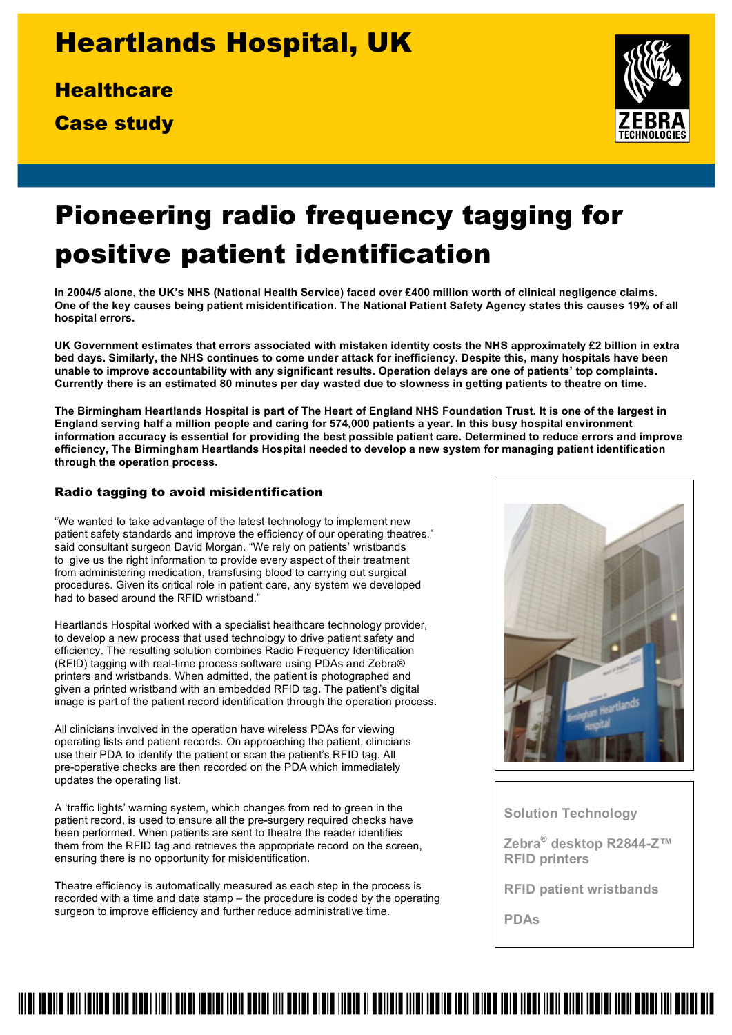## Heartlands Hospital, UK

**Healthcare** 

Case study



# Pioneering radio frequency tagging for positive patient identification

**In 2004/5 alone, the UK's NHS (National Health Service) faced over £400 million worth of clinical negligence claims. One of the key causes being patient misidentification. The National Patient Safety Agency states this causes 19% of all hospital errors.** 

**UK Government estimates that errors associated with mistaken identity costs the NHS approximately £2 billion in extra bed days. Similarly, the NHS continues to come under attack for inefficiency. Despite this, many hospitals have been unable to improve accountability with any significant results. Operation delays are one of patients' top complaints. Currently there is an estimated 80 minutes per day wasted due to slowness in getting patients to theatre on time.** 

**The Birmingham Heartlands Hospital is part of The Heart of England NHS Foundation Trust. It is one of the largest in England serving half a million people and caring for 574,000 patients a year. In this busy hospital environment information accuracy is essential for providing the best possible patient care. Determined to reduce errors and improve efficiency, The Birmingham Heartlands Hospital needed to develop a new system for managing patient identification through the operation process.** 

#### Radio tagging to avoid misidentification

"We wanted to take advantage of the latest technology to implement new patient safety standards and improve the efficiency of our operating theatres," said consultant surgeon David Morgan. "We rely on patients' wristbands to give us the right information to provide every aspect of their treatment from administering medication, transfusing blood to carrying out surgical procedures. Given its critical role in patient care, any system we developed had to based around the RFID wristband."

Heartlands Hospital worked with a specialist healthcare technology provider, to develop a new process that used technology to drive patient safety and efficiency. The resulting solution combines Radio Frequency Identification (RFID) tagging with real-time process software using PDAs and Zebra® printers and wristbands. When admitted, the patient is photographed and given a printed wristband with an embedded RFID tag. The patient's digital image is part of the patient record identification through the operation process.

All clinicians involved in the operation have wireless PDAs for viewing operating lists and patient records. On approaching the patient, clinicians use their PDA to identify the patient or scan the patient's RFID tag. All pre-operative checks are then recorded on the PDA which immediately updates the operating list.

A 'traffic lights' warning system, which changes from red to green in the patient record, is used to ensure all the pre-surgery required checks have been performed. When patients are sent to theatre the reader identifies them from the RFID tag and retrieves the appropriate record on the screen, ensuring there is no opportunity for misidentification.

Theatre efficiency is automatically measured as each step in the process is recorded with a time and date stamp – the procedure is coded by the operating surgeon to improve efficiency and further reduce administrative time.



### **Solution Technology**

**Zebra® desktop R2844-Z™ RFID printers** 

**RFID patient wristbands** 

**PDAs**